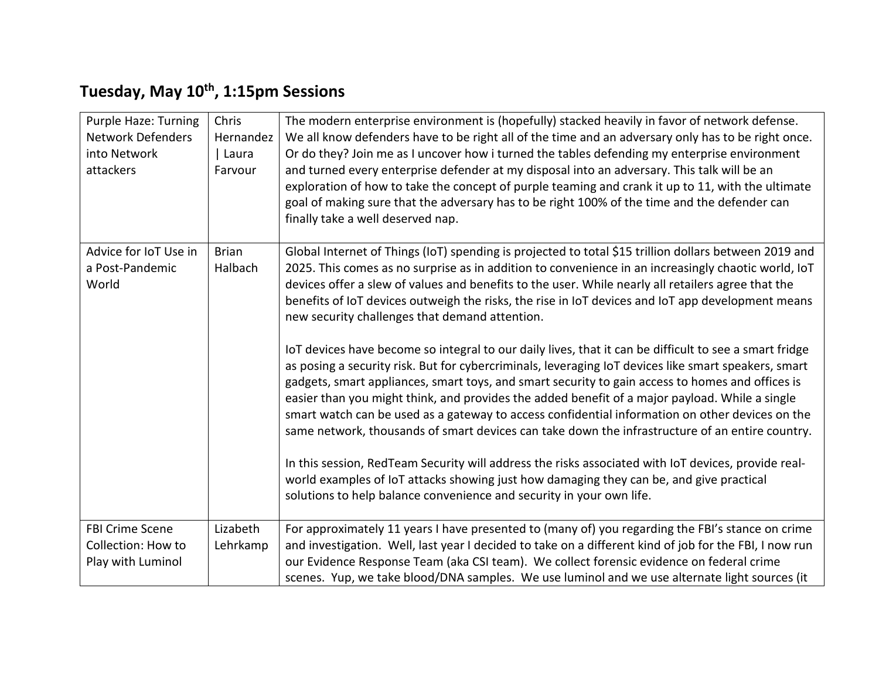## **Tuesday, May 10th, 1:15pm Sessions**

| <b>Purple Haze: Turning</b><br><b>Network Defenders</b><br>into Network<br>attackers | Chris<br>Hernandez<br>  Laura<br>Farvour | The modern enterprise environment is (hopefully) stacked heavily in favor of network defense.<br>We all know defenders have to be right all of the time and an adversary only has to be right once.<br>Or do they? Join me as I uncover how i turned the tables defending my enterprise environment<br>and turned every enterprise defender at my disposal into an adversary. This talk will be an<br>exploration of how to take the concept of purple teaming and crank it up to 11, with the ultimate<br>goal of making sure that the adversary has to be right 100% of the time and the defender can<br>finally take a well deserved nap.                                                                                                                                                                                                                                                                                                                                                                                                                                                                                                                                                                                                                                                                                                                                      |
|--------------------------------------------------------------------------------------|------------------------------------------|-----------------------------------------------------------------------------------------------------------------------------------------------------------------------------------------------------------------------------------------------------------------------------------------------------------------------------------------------------------------------------------------------------------------------------------------------------------------------------------------------------------------------------------------------------------------------------------------------------------------------------------------------------------------------------------------------------------------------------------------------------------------------------------------------------------------------------------------------------------------------------------------------------------------------------------------------------------------------------------------------------------------------------------------------------------------------------------------------------------------------------------------------------------------------------------------------------------------------------------------------------------------------------------------------------------------------------------------------------------------------------------|
| Advice for IoT Use in<br>a Post-Pandemic<br>World                                    | <b>Brian</b><br>Halbach                  | Global Internet of Things (IoT) spending is projected to total \$15 trillion dollars between 2019 and<br>2025. This comes as no surprise as in addition to convenience in an increasingly chaotic world, IoT<br>devices offer a slew of values and benefits to the user. While nearly all retailers agree that the<br>benefits of IoT devices outweigh the risks, the rise in IoT devices and IoT app development means<br>new security challenges that demand attention.<br>loT devices have become so integral to our daily lives, that it can be difficult to see a smart fridge<br>as posing a security risk. But for cybercriminals, leveraging IoT devices like smart speakers, smart<br>gadgets, smart appliances, smart toys, and smart security to gain access to homes and offices is<br>easier than you might think, and provides the added benefit of a major payload. While a single<br>smart watch can be used as a gateway to access confidential information on other devices on the<br>same network, thousands of smart devices can take down the infrastructure of an entire country.<br>In this session, RedTeam Security will address the risks associated with IoT devices, provide real-<br>world examples of IoT attacks showing just how damaging they can be, and give practical<br>solutions to help balance convenience and security in your own life. |
| <b>FBI Crime Scene</b><br>Collection: How to<br>Play with Luminol                    | Lizabeth<br>Lehrkamp                     | For approximately 11 years I have presented to (many of) you regarding the FBI's stance on crime<br>and investigation. Well, last year I decided to take on a different kind of job for the FBI, I now run<br>our Evidence Response Team (aka CSI team). We collect forensic evidence on federal crime<br>scenes. Yup, we take blood/DNA samples. We use luminol and we use alternate light sources (it                                                                                                                                                                                                                                                                                                                                                                                                                                                                                                                                                                                                                                                                                                                                                                                                                                                                                                                                                                           |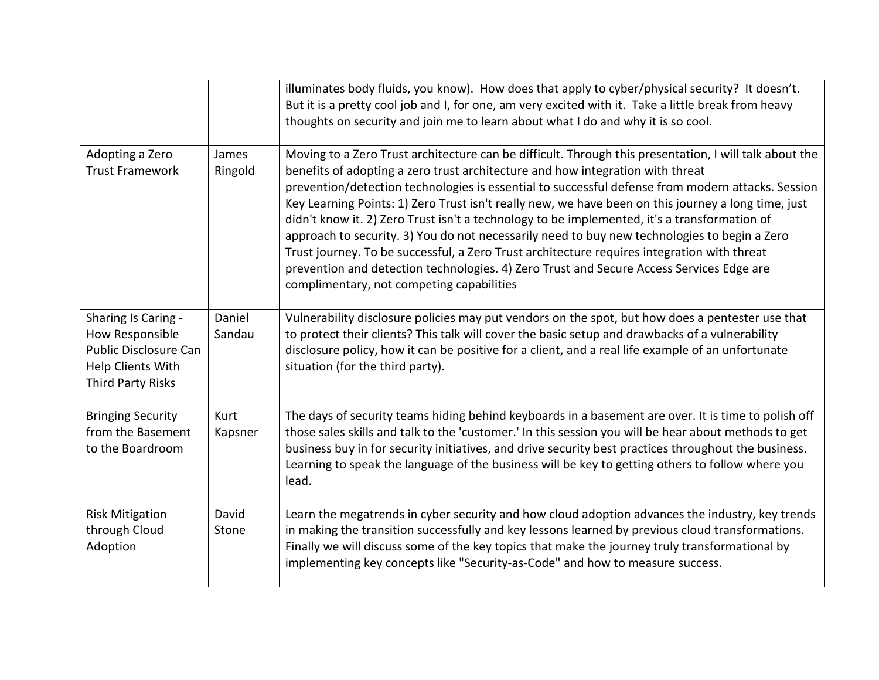|                                                                                                                  |                  | illuminates body fluids, you know). How does that apply to cyber/physical security? It doesn't.<br>But it is a pretty cool job and I, for one, am very excited with it. Take a little break from heavy<br>thoughts on security and join me to learn about what I do and why it is so cool.                                                                                                                                                                                                                                                                                                                                                                                                                                                                                                                                                   |
|------------------------------------------------------------------------------------------------------------------|------------------|----------------------------------------------------------------------------------------------------------------------------------------------------------------------------------------------------------------------------------------------------------------------------------------------------------------------------------------------------------------------------------------------------------------------------------------------------------------------------------------------------------------------------------------------------------------------------------------------------------------------------------------------------------------------------------------------------------------------------------------------------------------------------------------------------------------------------------------------|
| Adopting a Zero<br><b>Trust Framework</b>                                                                        | James<br>Ringold | Moving to a Zero Trust architecture can be difficult. Through this presentation, I will talk about the<br>benefits of adopting a zero trust architecture and how integration with threat<br>prevention/detection technologies is essential to successful defense from modern attacks. Session<br>Key Learning Points: 1) Zero Trust isn't really new, we have been on this journey a long time, just<br>didn't know it. 2) Zero Trust isn't a technology to be implemented, it's a transformation of<br>approach to security. 3) You do not necessarily need to buy new technologies to begin a Zero<br>Trust journey. To be successful, a Zero Trust architecture requires integration with threat<br>prevention and detection technologies. 4) Zero Trust and Secure Access Services Edge are<br>complimentary, not competing capabilities |
| Sharing Is Caring -<br>How Responsible<br>Public Disclosure Can<br>Help Clients With<br><b>Third Party Risks</b> | Daniel<br>Sandau | Vulnerability disclosure policies may put vendors on the spot, but how does a pentester use that<br>to protect their clients? This talk will cover the basic setup and drawbacks of a vulnerability<br>disclosure policy, how it can be positive for a client, and a real life example of an unfortunate<br>situation (for the third party).                                                                                                                                                                                                                                                                                                                                                                                                                                                                                                 |
| <b>Bringing Security</b><br>from the Basement<br>to the Boardroom                                                | Kurt<br>Kapsner  | The days of security teams hiding behind keyboards in a basement are over. It is time to polish off<br>those sales skills and talk to the 'customer.' In this session you will be hear about methods to get<br>business buy in for security initiatives, and drive security best practices throughout the business.<br>Learning to speak the language of the business will be key to getting others to follow where you<br>lead.                                                                                                                                                                                                                                                                                                                                                                                                             |
| <b>Risk Mitigation</b><br>through Cloud<br>Adoption                                                              | David<br>Stone   | Learn the megatrends in cyber security and how cloud adoption advances the industry, key trends<br>in making the transition successfully and key lessons learned by previous cloud transformations.<br>Finally we will discuss some of the key topics that make the journey truly transformational by<br>implementing key concepts like "Security-as-Code" and how to measure success.                                                                                                                                                                                                                                                                                                                                                                                                                                                       |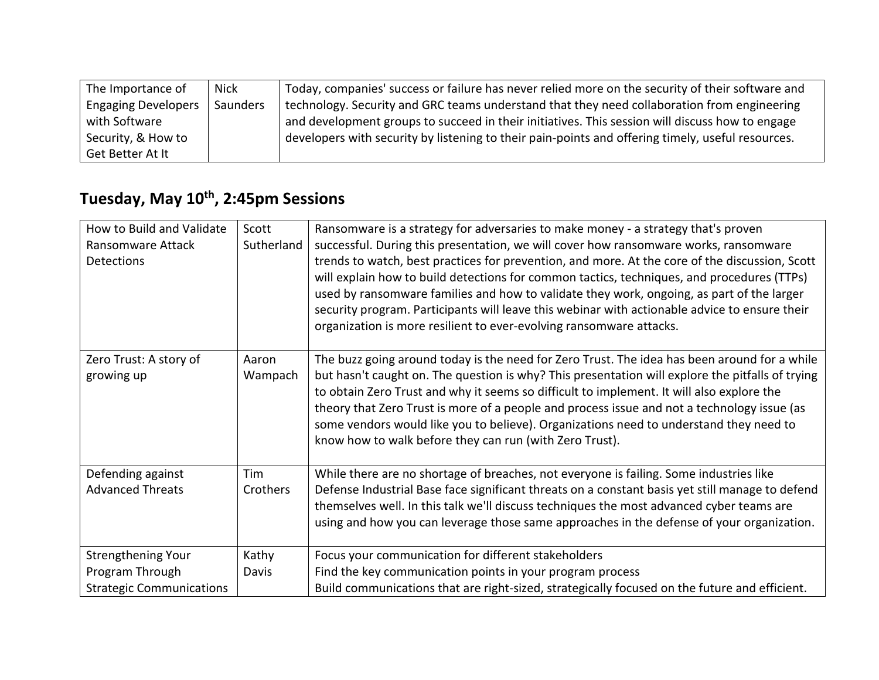| The Importance of          | Nick     | Today, companies' success or failure has never relied more on the security of their software and  |
|----------------------------|----------|---------------------------------------------------------------------------------------------------|
| <b>Engaging Developers</b> | Saunders | technology. Security and GRC teams understand that they need collaboration from engineering       |
| with Software              |          | and development groups to succeed in their initiatives. This session will discuss how to engage   |
| Security, & How to         |          | developers with security by listening to their pain-points and offering timely, useful resources. |
| Get Better At It           |          |                                                                                                   |

## **Tuesday, May 10th, 2:45pm Sessions**

| How to Build and Validate            | Scott            | Ransomware is a strategy for adversaries to make money - a strategy that's proven                                                                                                                                                                                                                                                                                                                                                                                                                                                                 |
|--------------------------------------|------------------|---------------------------------------------------------------------------------------------------------------------------------------------------------------------------------------------------------------------------------------------------------------------------------------------------------------------------------------------------------------------------------------------------------------------------------------------------------------------------------------------------------------------------------------------------|
| Ransomware Attack                    | Sutherland       | successful. During this presentation, we will cover how ransomware works, ransomware                                                                                                                                                                                                                                                                                                                                                                                                                                                              |
| Detections                           |                  | trends to watch, best practices for prevention, and more. At the core of the discussion, Scott<br>will explain how to build detections for common tactics, techniques, and procedures (TTPs)<br>used by ransomware families and how to validate they work, ongoing, as part of the larger<br>security program. Participants will leave this webinar with actionable advice to ensure their<br>organization is more resilient to ever-evolving ransomware attacks.                                                                                 |
| Zero Trust: A story of<br>growing up | Aaron<br>Wampach | The buzz going around today is the need for Zero Trust. The idea has been around for a while<br>but hasn't caught on. The question is why? This presentation will explore the pitfalls of trying<br>to obtain Zero Trust and why it seems so difficult to implement. It will also explore the<br>theory that Zero Trust is more of a people and process issue and not a technology issue (as<br>some vendors would like you to believe). Organizations need to understand they need to<br>know how to walk before they can run (with Zero Trust). |
| Defending against                    | Tim              | While there are no shortage of breaches, not everyone is failing. Some industries like                                                                                                                                                                                                                                                                                                                                                                                                                                                            |
| <b>Advanced Threats</b>              | Crothers         | Defense Industrial Base face significant threats on a constant basis yet still manage to defend<br>themselves well. In this talk we'll discuss techniques the most advanced cyber teams are<br>using and how you can leverage those same approaches in the defense of your organization.                                                                                                                                                                                                                                                          |
| Strengthening Your                   | Kathy            | Focus your communication for different stakeholders                                                                                                                                                                                                                                                                                                                                                                                                                                                                                               |
| Program Through                      | Davis            | Find the key communication points in your program process                                                                                                                                                                                                                                                                                                                                                                                                                                                                                         |
| <b>Strategic Communications</b>      |                  | Build communications that are right-sized, strategically focused on the future and efficient.                                                                                                                                                                                                                                                                                                                                                                                                                                                     |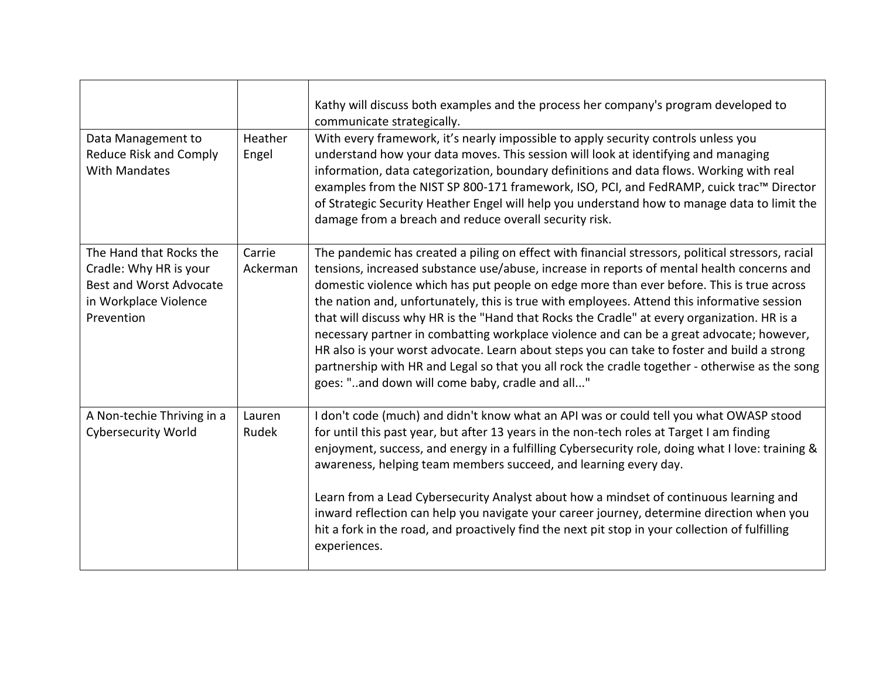|                                                                                                                            |                    | Kathy will discuss both examples and the process her company's program developed to<br>communicate strategically.                                                                                                                                                                                                                                                                                                                                                                                                                                                                                                                                                                                                                                                                                                                          |
|----------------------------------------------------------------------------------------------------------------------------|--------------------|--------------------------------------------------------------------------------------------------------------------------------------------------------------------------------------------------------------------------------------------------------------------------------------------------------------------------------------------------------------------------------------------------------------------------------------------------------------------------------------------------------------------------------------------------------------------------------------------------------------------------------------------------------------------------------------------------------------------------------------------------------------------------------------------------------------------------------------------|
| Data Management to<br>Reduce Risk and Comply<br>With Mandates                                                              | Heather<br>Engel   | With every framework, it's nearly impossible to apply security controls unless you<br>understand how your data moves. This session will look at identifying and managing<br>information, data categorization, boundary definitions and data flows. Working with real<br>examples from the NIST SP 800-171 framework, ISO, PCI, and FedRAMP, cuick trac™ Director<br>of Strategic Security Heather Engel will help you understand how to manage data to limit the<br>damage from a breach and reduce overall security risk.                                                                                                                                                                                                                                                                                                                 |
| The Hand that Rocks the<br>Cradle: Why HR is your<br><b>Best and Worst Advocate</b><br>in Workplace Violence<br>Prevention | Carrie<br>Ackerman | The pandemic has created a piling on effect with financial stressors, political stressors, racial<br>tensions, increased substance use/abuse, increase in reports of mental health concerns and<br>domestic violence which has put people on edge more than ever before. This is true across<br>the nation and, unfortunately, this is true with employees. Attend this informative session<br>that will discuss why HR is the "Hand that Rocks the Cradle" at every organization. HR is a<br>necessary partner in combatting workplace violence and can be a great advocate; however,<br>HR also is your worst advocate. Learn about steps you can take to foster and build a strong<br>partnership with HR and Legal so that you all rock the cradle together - otherwise as the song<br>goes: "and down will come baby, cradle and all" |
| A Non-techie Thriving in a<br><b>Cybersecurity World</b>                                                                   | Lauren<br>Rudek    | I don't code (much) and didn't know what an API was or could tell you what OWASP stood<br>for until this past year, but after 13 years in the non-tech roles at Target I am finding<br>enjoyment, success, and energy in a fulfilling Cybersecurity role, doing what I love: training &<br>awareness, helping team members succeed, and learning every day.<br>Learn from a Lead Cybersecurity Analyst about how a mindset of continuous learning and<br>inward reflection can help you navigate your career journey, determine direction when you<br>hit a fork in the road, and proactively find the next pit stop in your collection of fulfilling<br>experiences.                                                                                                                                                                      |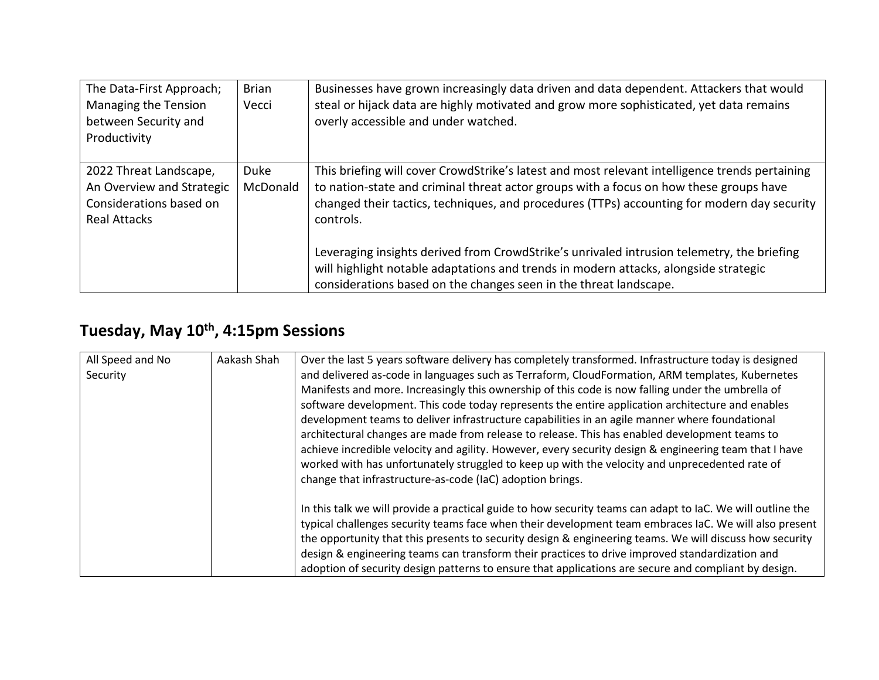| The Data-First Approach;<br>Managing the Tension<br>between Security and<br>Productivity              | <b>Brian</b><br>Vecci | Businesses have grown increasingly data driven and data dependent. Attackers that would<br>steal or hijack data are highly motivated and grow more sophisticated, yet data remains<br>overly accessible and under watched.                                                                           |
|-------------------------------------------------------------------------------------------------------|-----------------------|------------------------------------------------------------------------------------------------------------------------------------------------------------------------------------------------------------------------------------------------------------------------------------------------------|
| 2022 Threat Landscape,<br>An Overview and Strategic<br>Considerations based on<br><b>Real Attacks</b> | Duke<br>McDonald      | This briefing will cover CrowdStrike's latest and most relevant intelligence trends pertaining<br>to nation-state and criminal threat actor groups with a focus on how these groups have<br>changed their tactics, techniques, and procedures (TTPs) accounting for modern day security<br>controls. |
|                                                                                                       |                       | Leveraging insights derived from CrowdStrike's unrivaled intrusion telemetry, the briefing<br>will highlight notable adaptations and trends in modern attacks, alongside strategic<br>considerations based on the changes seen in the threat landscape.                                              |

## **Tuesday, May 10th, 4:15pm Sessions**

| All Speed and No | Aakash Shah | Over the last 5 years software delivery has completely transformed. Infrastructure today is designed       |
|------------------|-------------|------------------------------------------------------------------------------------------------------------|
| Security         |             | and delivered as-code in languages such as Terraform, CloudFormation, ARM templates, Kubernetes            |
|                  |             | Manifests and more. Increasingly this ownership of this code is now falling under the umbrella of          |
|                  |             | software development. This code today represents the entire application architecture and enables           |
|                  |             | development teams to deliver infrastructure capabilities in an agile manner where foundational             |
|                  |             | architectural changes are made from release to release. This has enabled development teams to              |
|                  |             | achieve incredible velocity and agility. However, every security design & engineering team that I have     |
|                  |             | worked with has unfortunately struggled to keep up with the velocity and unprecedented rate of             |
|                  |             | change that infrastructure-as-code (IaC) adoption brings.                                                  |
|                  |             | In this talk we will provide a practical guide to how security teams can adapt to IaC. We will outline the |
|                  |             | typical challenges security teams face when their development team embraces IaC. We will also present      |
|                  |             | the opportunity that this presents to security design & engineering teams. We will discuss how security    |
|                  |             | design & engineering teams can transform their practices to drive improved standardization and             |
|                  |             | adoption of security design patterns to ensure that applications are secure and compliant by design.       |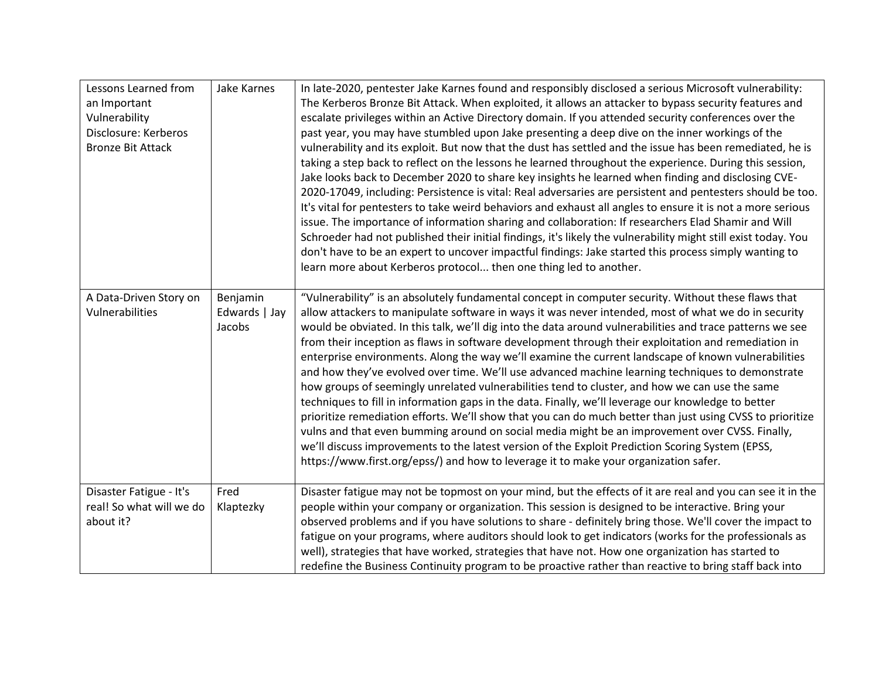| Lessons Learned from     | <b>Jake Karnes</b> | In late-2020, pentester Jake Karnes found and responsibly disclosed a serious Microsoft vulnerability:                                                                                             |
|--------------------------|--------------------|----------------------------------------------------------------------------------------------------------------------------------------------------------------------------------------------------|
| an Important             |                    | The Kerberos Bronze Bit Attack. When exploited, it allows an attacker to bypass security features and                                                                                              |
| Vulnerability            |                    | escalate privileges within an Active Directory domain. If you attended security conferences over the                                                                                               |
| Disclosure: Kerberos     |                    | past year, you may have stumbled upon Jake presenting a deep dive on the inner workings of the                                                                                                     |
| <b>Bronze Bit Attack</b> |                    | vulnerability and its exploit. But now that the dust has settled and the issue has been remediated, he is                                                                                          |
|                          |                    | taking a step back to reflect on the lessons he learned throughout the experience. During this session,                                                                                            |
|                          |                    | Jake looks back to December 2020 to share key insights he learned when finding and disclosing CVE-                                                                                                 |
|                          |                    | 2020-17049, including: Persistence is vital: Real adversaries are persistent and pentesters should be too.                                                                                         |
|                          |                    | It's vital for pentesters to take weird behaviors and exhaust all angles to ensure it is not a more serious                                                                                        |
|                          |                    | issue. The importance of information sharing and collaboration: If researchers Elad Shamir and Will                                                                                                |
|                          |                    | Schroeder had not published their initial findings, it's likely the vulnerability might still exist today. You                                                                                     |
|                          |                    | don't have to be an expert to uncover impactful findings: Jake started this process simply wanting to                                                                                              |
|                          |                    | learn more about Kerberos protocol then one thing led to another.                                                                                                                                  |
|                          |                    |                                                                                                                                                                                                    |
| A Data-Driven Story on   | Benjamin           | "Vulnerability" is an absolutely fundamental concept in computer security. Without these flaws that                                                                                                |
| Vulnerabilities          | Edwards   Jay      | allow attackers to manipulate software in ways it was never intended, most of what we do in security                                                                                               |
|                          | Jacobs             | would be obviated. In this talk, we'll dig into the data around vulnerabilities and trace patterns we see                                                                                          |
|                          |                    | from their inception as flaws in software development through their exploitation and remediation in                                                                                                |
|                          |                    | enterprise environments. Along the way we'll examine the current landscape of known vulnerabilities                                                                                                |
|                          |                    | and how they've evolved over time. We'll use advanced machine learning techniques to demonstrate<br>how groups of seemingly unrelated vulnerabilities tend to cluster, and how we can use the same |
|                          |                    | techniques to fill in information gaps in the data. Finally, we'll leverage our knowledge to better                                                                                                |
|                          |                    | prioritize remediation efforts. We'll show that you can do much better than just using CVSS to prioritize                                                                                          |
|                          |                    | vulns and that even bumming around on social media might be an improvement over CVSS. Finally,                                                                                                     |
|                          |                    | we'll discuss improvements to the latest version of the Exploit Prediction Scoring System (EPSS,                                                                                                   |
|                          |                    | https://www.first.org/epss/) and how to leverage it to make your organization safer.                                                                                                               |
|                          |                    |                                                                                                                                                                                                    |
| Disaster Fatigue - It's  | Fred               | Disaster fatigue may not be topmost on your mind, but the effects of it are real and you can see it in the                                                                                         |
| real! So what will we do | Klaptezky          | people within your company or organization. This session is designed to be interactive. Bring your                                                                                                 |
| about it?                |                    | observed problems and if you have solutions to share - definitely bring those. We'll cover the impact to                                                                                           |
|                          |                    | fatigue on your programs, where auditors should look to get indicators (works for the professionals as                                                                                             |
|                          |                    | well), strategies that have worked, strategies that have not. How one organization has started to                                                                                                  |
|                          |                    | redefine the Business Continuity program to be proactive rather than reactive to bring staff back into                                                                                             |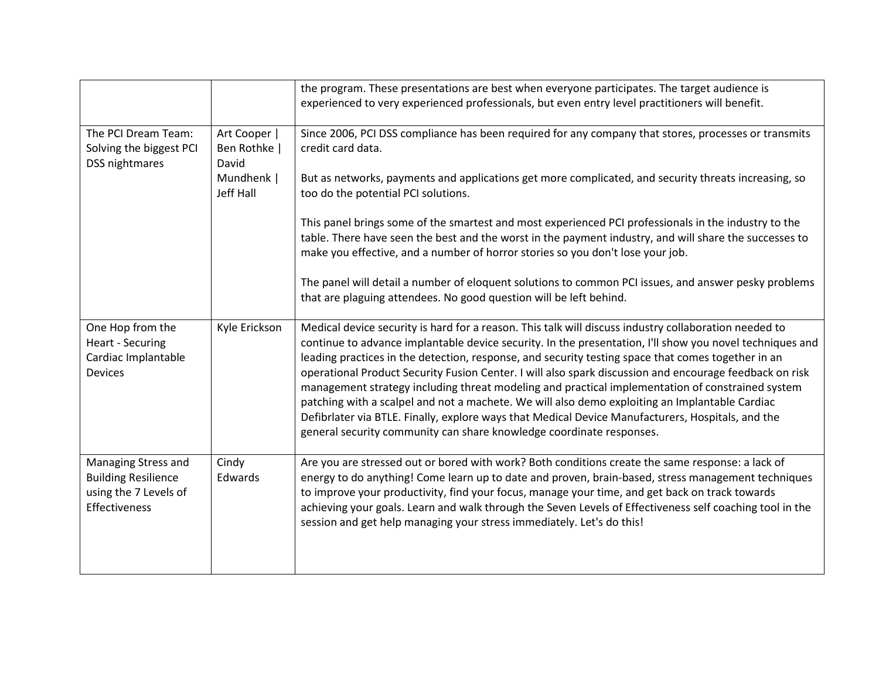|                                                                                             |                                       | the program. These presentations are best when everyone participates. The target audience is<br>experienced to very experienced professionals, but even entry level practitioners will benefit.                                                                                                                                                                                                                                                                                                                                                                                                                                                                                                                                                                                                                       |
|---------------------------------------------------------------------------------------------|---------------------------------------|-----------------------------------------------------------------------------------------------------------------------------------------------------------------------------------------------------------------------------------------------------------------------------------------------------------------------------------------------------------------------------------------------------------------------------------------------------------------------------------------------------------------------------------------------------------------------------------------------------------------------------------------------------------------------------------------------------------------------------------------------------------------------------------------------------------------------|
| The PCI Dream Team:<br>Solving the biggest PCI<br>DSS nightmares                            | Art Cooper  <br>Ben Rothke  <br>David | Since 2006, PCI DSS compliance has been required for any company that stores, processes or transmits<br>credit card data.                                                                                                                                                                                                                                                                                                                                                                                                                                                                                                                                                                                                                                                                                             |
|                                                                                             | Mundhenk  <br>Jeff Hall               | But as networks, payments and applications get more complicated, and security threats increasing, so<br>too do the potential PCI solutions.                                                                                                                                                                                                                                                                                                                                                                                                                                                                                                                                                                                                                                                                           |
|                                                                                             |                                       | This panel brings some of the smartest and most experienced PCI professionals in the industry to the<br>table. There have seen the best and the worst in the payment industry, and will share the successes to<br>make you effective, and a number of horror stories so you don't lose your job.                                                                                                                                                                                                                                                                                                                                                                                                                                                                                                                      |
|                                                                                             |                                       | The panel will detail a number of eloquent solutions to common PCI issues, and answer pesky problems<br>that are plaguing attendees. No good question will be left behind.                                                                                                                                                                                                                                                                                                                                                                                                                                                                                                                                                                                                                                            |
| One Hop from the<br>Heart - Securing<br>Cardiac Implantable<br><b>Devices</b>               | Kyle Erickson                         | Medical device security is hard for a reason. This talk will discuss industry collaboration needed to<br>continue to advance implantable device security. In the presentation, I'll show you novel techniques and<br>leading practices in the detection, response, and security testing space that comes together in an<br>operational Product Security Fusion Center. I will also spark discussion and encourage feedback on risk<br>management strategy including threat modeling and practical implementation of constrained system<br>patching with a scalpel and not a machete. We will also demo exploiting an Implantable Cardiac<br>Defibriater via BTLE. Finally, explore ways that Medical Device Manufacturers, Hospitals, and the<br>general security community can share knowledge coordinate responses. |
| Managing Stress and<br><b>Building Resilience</b><br>using the 7 Levels of<br>Effectiveness | Cindy<br>Edwards                      | Are you are stressed out or bored with work? Both conditions create the same response: a lack of<br>energy to do anything! Come learn up to date and proven, brain-based, stress management techniques<br>to improve your productivity, find your focus, manage your time, and get back on track towards<br>achieving your goals. Learn and walk through the Seven Levels of Effectiveness self coaching tool in the<br>session and get help managing your stress immediately. Let's do this!                                                                                                                                                                                                                                                                                                                         |